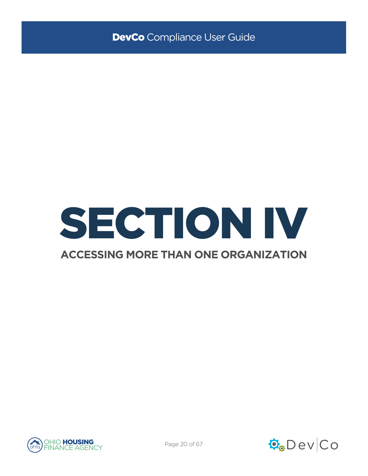

# **ACCESSING MORE THAN ONE ORGANIZATION**



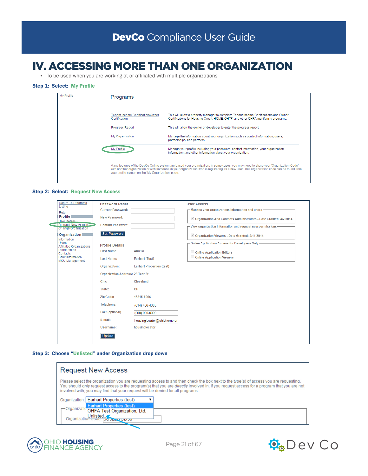# IV. ACCESSING MORE THAN ONE ORGANIZATION

• To be used when you are working at or affiliated with multiple organizations

## Step 1: Select: My Profile

| My Profile | Programs                                           |                                                                                                                                                                                                                                                                                  |
|------------|----------------------------------------------------|----------------------------------------------------------------------------------------------------------------------------------------------------------------------------------------------------------------------------------------------------------------------------------|
|            | Tenant Income Certification/Owner<br>Certification | This will allow a property manager to complete Tenant Income Certifications and Owner<br>Certifications for Housing Credit, HOME, OHTF, and other OHFA multifamily programs.                                                                                                     |
|            | <b>Progress Report</b>                             | This will allow the owner or developer to enter the progress report.                                                                                                                                                                                                             |
|            | My Organization                                    | Manage the information about your organization such as contact information, users,<br>partnerships, and partners.                                                                                                                                                                |
|            | My Profile                                         | Manage your profile including your password, contact information, your organization<br>information, and other information about your organization.                                                                                                                               |
|            | your profile screen on the 'My Organization' page. | Many features of the DevCo Online system are based your organization. In some cases, you may need to share your 'Organization Code'<br>with another organization or with someone in your organization who is registering as a new user. This organization code can be found from |

#### Step 2: Select: Request New Access

| <b>Return To Programs</b><br>Listing                                                                       | <b>Password Reset</b>                   |                                  | <b>User Access</b>                                                |
|------------------------------------------------------------------------------------------------------------|-----------------------------------------|----------------------------------|-------------------------------------------------------------------|
|                                                                                                            | <b>Current Password:</b>                |                                  | - Manage your organizations information and users-                |
| Return<br><b>Profile</b>                                                                                   |                                         |                                  |                                                                   |
| <b>User Details</b>                                                                                        | New Password:                           |                                  | Organization And Contacts Administrators - Date Granted: 4/2/2014 |
| <b>Request New Access</b><br><b>Change Organization</b>                                                    | <b>Confirm Password:</b>                |                                  | - View organization information and request new permissions-      |
| Organization                                                                                               | Set Password                            |                                  | Organization Viewers - Date Granted: 3/11/2014                    |
| Information                                                                                                |                                         |                                  |                                                                   |
| Users<br>Affiliated Organizations<br>Partnerships<br>Contacts<br><b>Bank Information</b><br>MOU Management | <b>Profile Details</b>                  |                                  | -Online Application Access for Developers Only-                   |
|                                                                                                            | <b>First Name:</b>                      | Amelia                           | Online Application Editors                                        |
|                                                                                                            | <b>Last Name:</b>                       | <b>Earhart (Test)</b>            | Online Application Viewers                                        |
|                                                                                                            | Organization:                           | <b>Earhart Properties (test)</b> |                                                                   |
|                                                                                                            | <b>Organization Address: 23 Test St</b> |                                  |                                                                   |
|                                                                                                            | City:                                   | Cleveland                        |                                                                   |
|                                                                                                            | State:                                  | OH                               |                                                                   |
|                                                                                                            | <b>Zip Code:</b>                        | 43215-6906                       |                                                                   |
|                                                                                                            | Telephone:                              | (614) 466-4385                   |                                                                   |
|                                                                                                            | Fax: (optional)                         | (000) 000-0000                   |                                                                   |
|                                                                                                            | E-mail:                                 | housinglocator@ohiohome.or       |                                                                   |
|                                                                                                            | Username:                               | housinglocator                   |                                                                   |
|                                                                                                            | Update                                  |                                  |                                                                   |
|                                                                                                            |                                         |                                  |                                                                   |

#### Step 3: Choose "Unlisted" under Organization drop down

| <b>Request New Access</b>                                                                                                                                                                                                                                                                                                                                          |  |  |
|--------------------------------------------------------------------------------------------------------------------------------------------------------------------------------------------------------------------------------------------------------------------------------------------------------------------------------------------------------------------|--|--|
| Please select the organization you are requesting access to and then check the box next to the type(s) of access you are requesting.<br>You should only request access to the program(s) that you are directly involved in. If you request access for a program that you are not<br>involved with, you may find that your request will be denied for all programs. |  |  |
| Organization: Earhart Properties (test)                                                                                                                                                                                                                                                                                                                            |  |  |
| Organizatic <mark> Earhart Properties (test)</mark><br>OHFA Test Organization, Ltd.<br>Unlisted.<br>Organization Code: 13032347CD30                                                                                                                                                                                                                                |  |  |



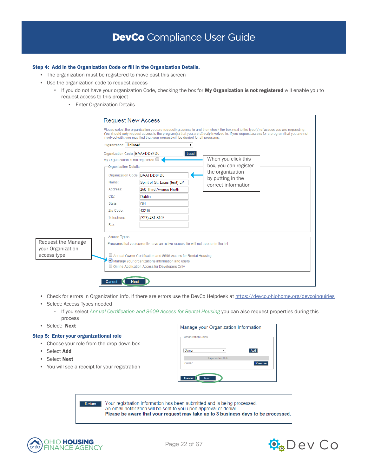### Step 4: Add in the Organization Code or fill in the Organization Details.

- The organization must be registered to move past this screen
- Use the organization code to request access
	- If you do not have your organization Code, checking the box for My Organization is not registered will enable you to request access to this project
		- **Enter Organization Details**

|                                         | <b>Request New Access</b>                                                                                                                                              |                                                                                                                                                                                                                                                                                                                                                                    |  |                                              |  |  |
|-----------------------------------------|------------------------------------------------------------------------------------------------------------------------------------------------------------------------|--------------------------------------------------------------------------------------------------------------------------------------------------------------------------------------------------------------------------------------------------------------------------------------------------------------------------------------------------------------------|--|----------------------------------------------|--|--|
|                                         |                                                                                                                                                                        | Please select the organization you are requesting access to and then check the box next to the type(s) of access you are requesting.<br>You should only request access to the program(s) that you are directly involved in. If you request access for a program that you are not<br>involved with, you may find that your request will be denied for all programs. |  |                                              |  |  |
|                                         | Organization: Unlisted                                                                                                                                                 |                                                                                                                                                                                                                                                                                                                                                                    |  |                                              |  |  |
|                                         | Organization Code: BAAFDD64D0<br>Load<br>My Organization is not registered<br>- Organization Details-                                                                  |                                                                                                                                                                                                                                                                                                                                                                    |  |                                              |  |  |
|                                         |                                                                                                                                                                        |                                                                                                                                                                                                                                                                                                                                                                    |  | When you click this<br>box, you can register |  |  |
|                                         |                                                                                                                                                                        |                                                                                                                                                                                                                                                                                                                                                                    |  |                                              |  |  |
|                                         | Organization Code: BAAFDD64D0                                                                                                                                          |                                                                                                                                                                                                                                                                                                                                                                    |  | the organization                             |  |  |
|                                         | Name:                                                                                                                                                                  | Spirit of St. Louis (test) LP                                                                                                                                                                                                                                                                                                                                      |  | by putting in the<br>correct information     |  |  |
|                                         | Address:                                                                                                                                                               | 250 Third Avenue North                                                                                                                                                                                                                                                                                                                                             |  |                                              |  |  |
|                                         | City:                                                                                                                                                                  | <b>Dublin</b>                                                                                                                                                                                                                                                                                                                                                      |  |                                              |  |  |
|                                         | State:                                                                                                                                                                 | OH                                                                                                                                                                                                                                                                                                                                                                 |  |                                              |  |  |
|                                         | Zip Code:                                                                                                                                                              | 43215                                                                                                                                                                                                                                                                                                                                                              |  |                                              |  |  |
|                                         | Telephone:                                                                                                                                                             | (323) 481-8103                                                                                                                                                                                                                                                                                                                                                     |  |                                              |  |  |
|                                         | Fax:                                                                                                                                                                   |                                                                                                                                                                                                                                                                                                                                                                    |  |                                              |  |  |
|                                         |                                                                                                                                                                        |                                                                                                                                                                                                                                                                                                                                                                    |  |                                              |  |  |
| Request the Manage<br>your Organization | - Access Types<br>Programs that you currently have an active request for will not appear in the list.<br>Annual Owner Certification and 8609 Access for Rental Housing |                                                                                                                                                                                                                                                                                                                                                                    |  |                                              |  |  |
| access type                             |                                                                                                                                                                        |                                                                                                                                                                                                                                                                                                                                                                    |  |                                              |  |  |
|                                         | Manage your organizations information and users                                                                                                                        |                                                                                                                                                                                                                                                                                                                                                                    |  |                                              |  |  |
|                                         | Online Application Access for Developers Only                                                                                                                          |                                                                                                                                                                                                                                                                                                                                                                    |  |                                              |  |  |
|                                         |                                                                                                                                                                        |                                                                                                                                                                                                                                                                                                                                                                    |  |                                              |  |  |
|                                         | Cancel<br><b>Next</b>                                                                                                                                                  |                                                                                                                                                                                                                                                                                                                                                                    |  |                                              |  |  |
|                                         |                                                                                                                                                                        |                                                                                                                                                                                                                                                                                                                                                                    |  |                                              |  |  |

- Check for errors in Organization info, If there are errors use the DevCo Helpdesk at <https://devco.ohiohome.org/devcoinquiries>
- Select: Access Types needed
	- If you select *Annual Certification and 8609 Access for Rental Housing* you can also request properties during this process
- Select: Next

#### Step 5: Enter your organizational role

- Choose your role from the drop down box
- Select Add
- Select Next
- You will see a receipt for your registration

| Manage your Organization Information |  |        |
|--------------------------------------|--|--------|
| Organization Roles                   |  |        |
| Owner                                |  | Add    |
| <b>Organization Role</b>             |  |        |
| Owner                                |  | Remove |
| Cancel<br><b>Next</b>                |  |        |

Return Your registration information has been submitted and is being processed. An email notification will be sent to you upon approval or denial. Please be aware that your request may take up to 3 business days to be processed.